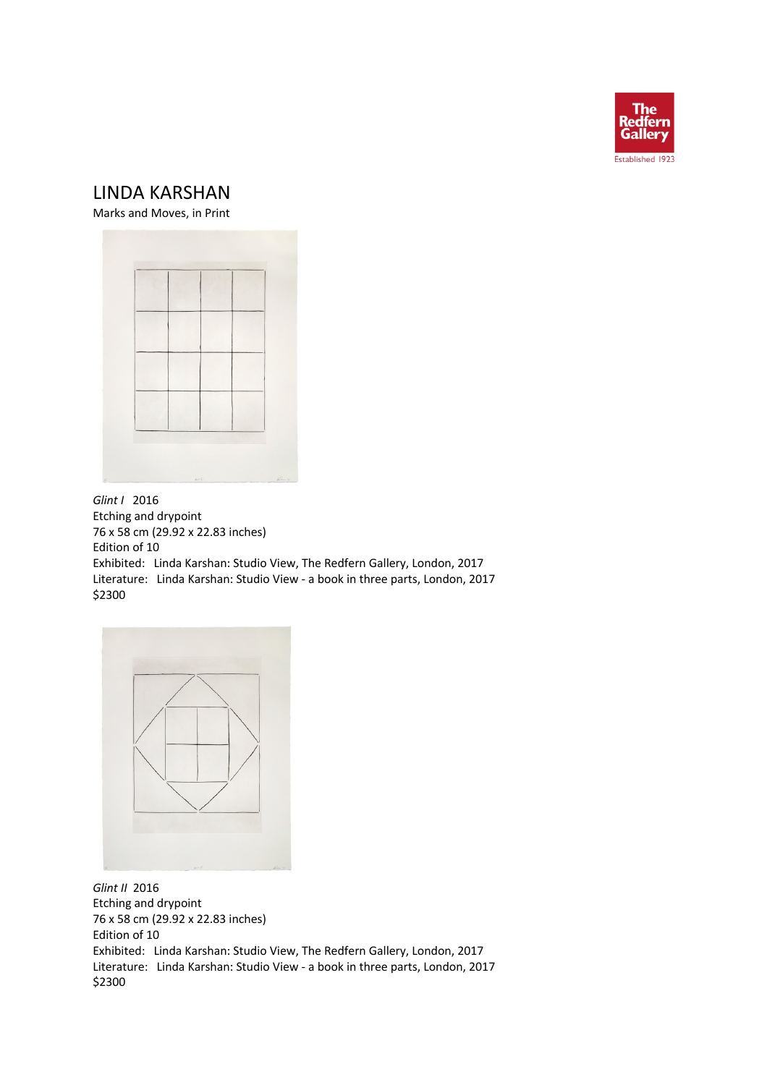

## LINDA KARSHAN

Marks and Moves, in Print



*Glint I* 2016 Etching and drypoint 76 x 58 cm (29.92 x 22.83 inches) Edition of 10 Exhibited: Linda Karshan: Studio View, The Redfern Gallery, London, 2017 Literature: Linda Karshan: Studio View - a book in three parts, London, 2017 \$2300



*Glint II* 2016 Etching and drypoint 76 x 58 cm (29.92 x 22.83 inches) Edition of 10 Exhibited: Linda Karshan: Studio View, The Redfern Gallery, London, 2017 Literature: Linda Karshan: Studio View - a book in three parts, London, 2017 \$2300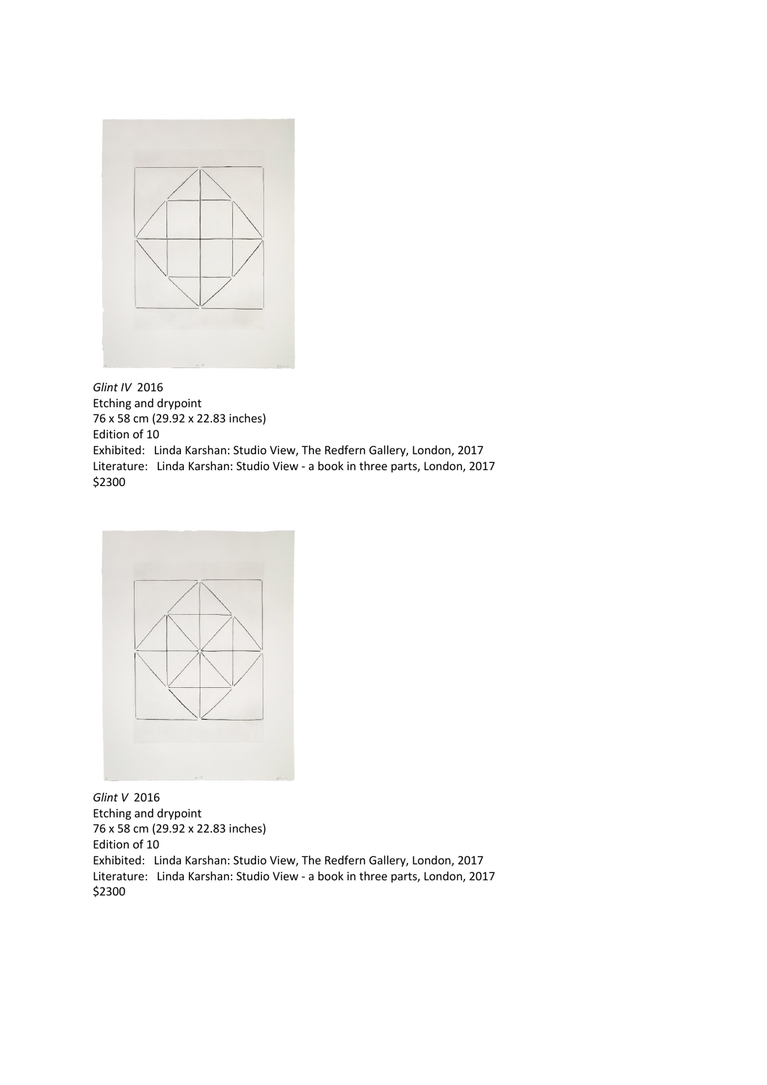

*Glint IV* 2016 Etching and drypoint 76 x 58 cm (29.92 x 22.83 inches) Edition of 10 Exhibited: Linda Karshan: Studio View, The Redfern Gallery, London, 2017 Literature: Linda Karshan: Studio View - a book in three parts, London, 2017 \$2300



*Glint V* 2016 Etching and drypoint 76 x 58 cm (29.92 x 22.83 inches) Edition of 10 Exhibited: Linda Karshan: Studio View, The Redfern Gallery, London, 2017 Literature: Linda Karshan: Studio View - a book in three parts, London, 2017 \$2300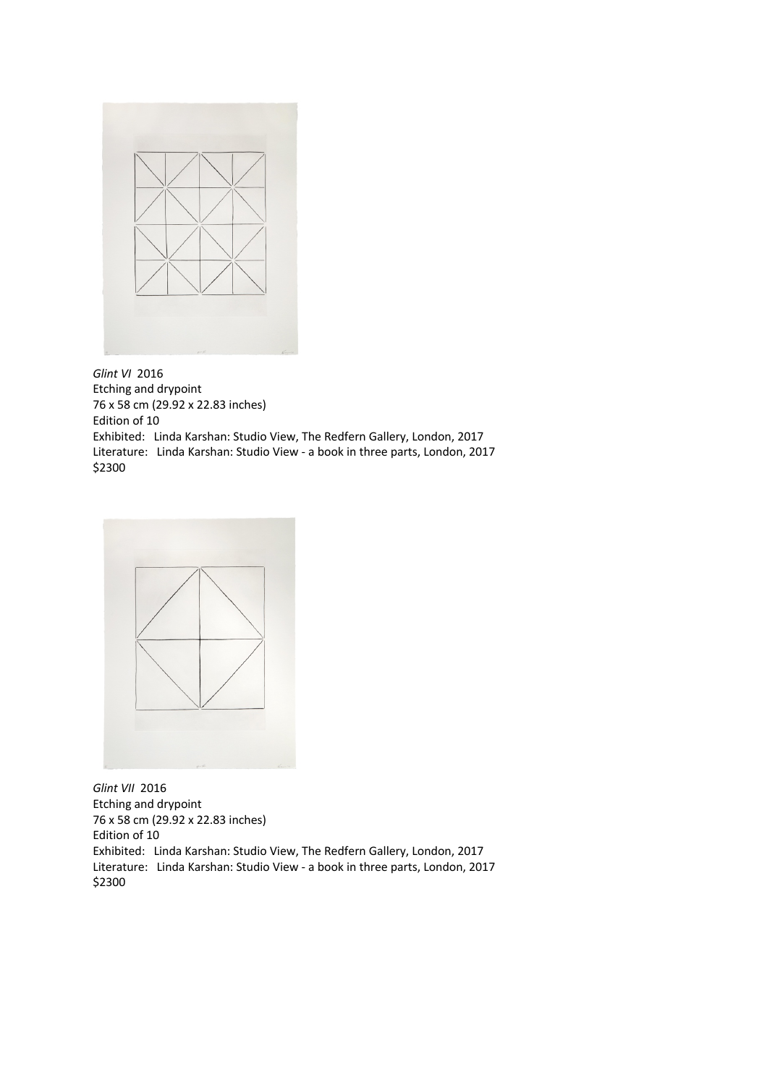

*Glint VI* 2016 Etching and drypoint 76 x 58 cm (29.92 x 22.83 inches) Edition of 10 Exhibited: Linda Karshan: Studio View, The Redfern Gallery, London, 2017 Literature: Linda Karshan: Studio View - a book in three parts, London, 2017 \$2300



*Glint VII* 2016 Etching and drypoint 76 x 58 cm (29.92 x 22.83 inches) Edition of 10 Exhibited: Linda Karshan: Studio View, The Redfern Gallery, London, 2017 Literature: Linda Karshan: Studio View - a book in three parts, London, 2017 \$2300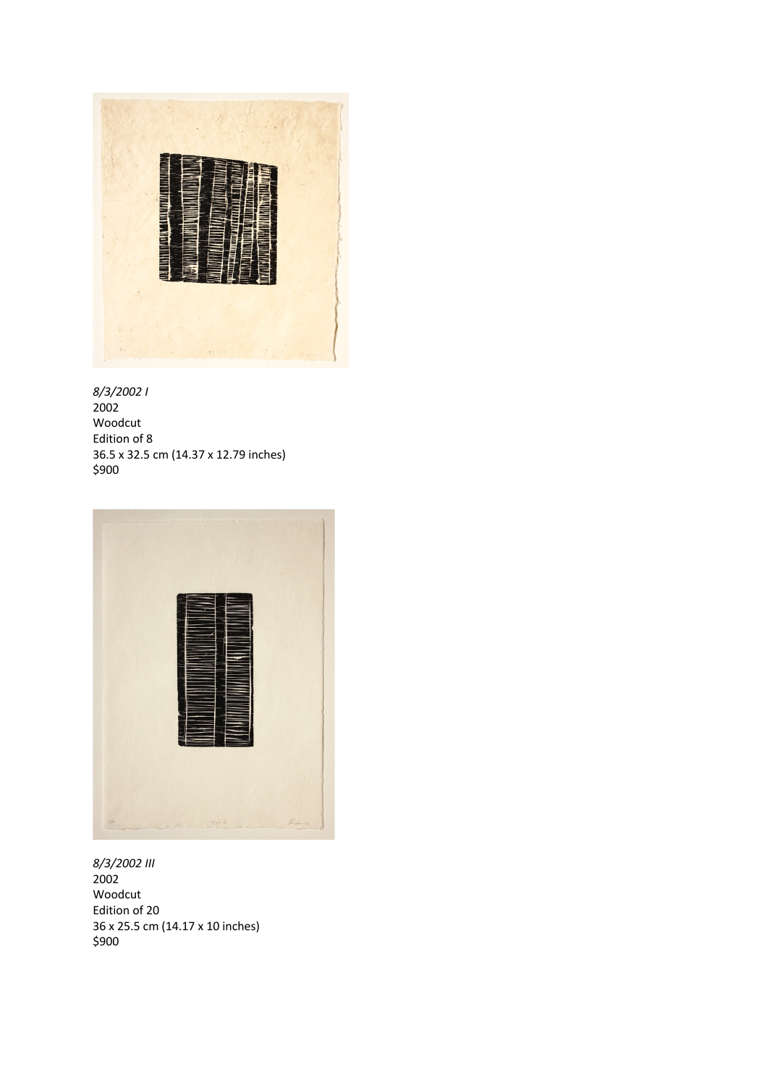





*8/3/2002 III* 2002 Woodcut Edition of 20 36 x 25.5 cm (14.17 x 10 inches) \$900